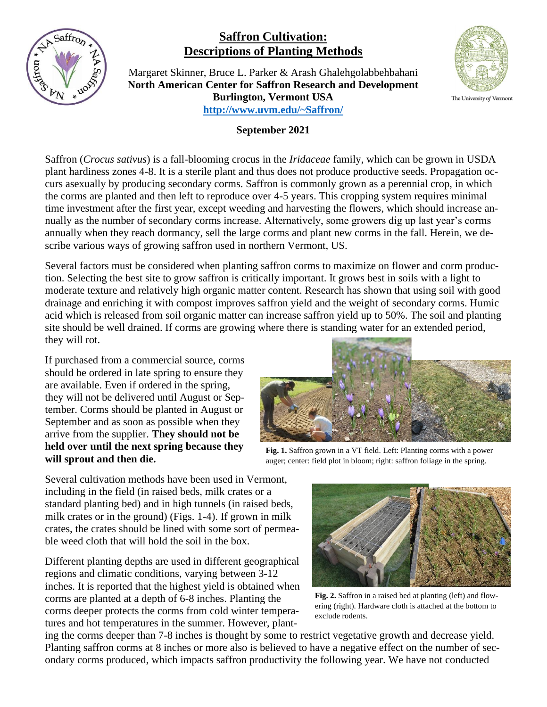

## **Saffron Cultivation: Descriptions of Planting Methods**

Margaret Skinner, Bruce L. Parker & Arash Ghalehgolabbehbahani **North American Center for Saffron Research and Development Burlington, Vermont USA <http://www.uvm.edu/~Saffron/>**

## **September 2021**

Saffron (*Crocus sativus*) is a fall-blooming crocus in the *Iridaceae* family, which can be grown in USDA plant hardiness zones 4-8. It is a sterile plant and thus does not produce productive seeds. Propagation occurs asexually by producing secondary corms. Saffron is commonly grown as a perennial crop, in which the corms are planted and then left to reproduce over 4-5 years. This cropping system requires minimal time investment after the first year, except weeding and harvesting the flowers, which should increase annually as the number of secondary corms increase. Alternatively, some growers dig up last year's corms annually when they reach dormancy, sell the large corms and plant new corms in the fall. Herein, we describe various ways of growing saffron used in northern Vermont, US.

Several factors must be considered when planting saffron corms to maximize on flower and corm production. Selecting the best site to grow saffron is critically important. It grows best in soils with a light to moderate texture and relatively high organic matter content. Research has shown that using soil with good drainage and enriching it with compost improves saffron yield and the weight of secondary corms. Humic acid which is released from soil organic matter can increase saffron yield up to 50%. The soil and planting site should be well drained. If corms are growing where there is standing water for an extended period, they will rot.

If purchased from a commercial source, corms should be ordered in late spring to ensure they are available. Even if ordered in the spring, they will not be delivered until August or September. Corms should be planted in August or September and as soon as possible when they arrive from the supplier. **They should not be held over until the next spring because they will sprout and then die.**



**Fig. 1.** Saffron grown in a VT field. Left: Planting corms with a power auger; center: field plot in bloom; right: saffron foliage in the spring.

Several cultivation methods have been used in Vermont, including in the field (in raised beds, milk crates or a standard planting bed) and in high tunnels (in raised beds, milk crates or in the ground) (Figs. 1-4). If grown in milk crates, the crates should be lined with some sort of permeable weed cloth that will hold the soil in the box.

Different planting depths are used in different geographical regions and climatic conditions, varying between 3-12 inches. It is reported that the highest yield is obtained when corms are planted at a depth of 6-8 inches. Planting the corms deeper protects the corms from cold winter temperatures and hot temperatures in the summer. However, plant-



**Fig. 2.** Saffron in a raised bed at planting (left) and flowering (right). Hardware cloth is attached at the bottom to exclude rodents.

ing the corms deeper than 7-8 inches is thought by some to restrict vegetative growth and decrease yield. Planting saffron corms at 8 inches or more also is believed to have a negative effect on the number of secondary corms produced, which impacts saffron productivity the following year. We have not conducted